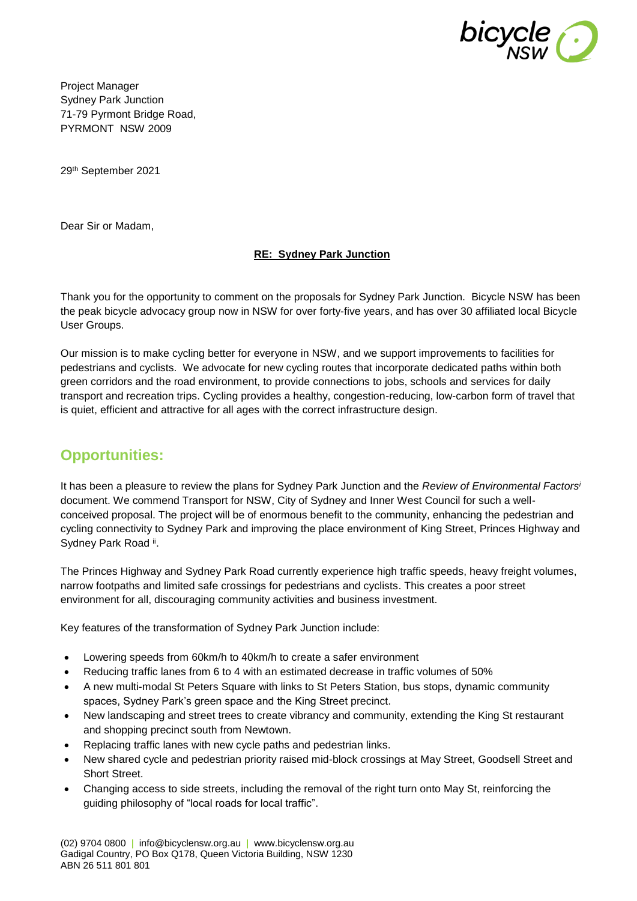

Project Manager Sydney Park Junction 71-79 Pyrmont Bridge Road, PYRMONT NSW 2009

29th September 2021

Dear Sir or Madam,

#### **RE: Sydney Park Junction**

Thank you for the opportunity to comment on the proposals for Sydney Park Junction. Bicycle NSW has been the peak bicycle advocacy group now in NSW for over forty-five years, and has over 30 affiliated local Bicycle User Groups.

Our mission is to make cycling better for everyone in NSW, and we support improvements to facilities for pedestrians and cyclists. We advocate for new cycling routes that incorporate dedicated paths within both green corridors and the road environment, to provide connections to jobs, schools and services for daily transport and recreation trips. Cycling provides a healthy, congestion-reducing, low-carbon form of travel that is quiet, efficient and attractive for all ages with the correct infrastructure design.

# **Opportunities:**

It has been a pleasure to review the plans for Sydney Park Junction and the *Review of Environmental Factors<sup>i</sup>* document. We commend Transport for NSW, City of Sydney and Inner West Council for such a wellconceived proposal. The project will be of enormous benefit to the community, enhancing the pedestrian and cycling connectivity to Sydney Park and improving the place environment of King Street, Princes Highway and Sydney Park Road ii.

The Princes Highway and Sydney Park Road currently experience high traffic speeds, heavy freight volumes, narrow footpaths and limited safe crossings for pedestrians and cyclists. This creates a poor street environment for all, discouraging community activities and business investment.

Key features of the transformation of Sydney Park Junction include:

- Lowering speeds from 60km/h to 40km/h to create a safer environment
- Reducing traffic lanes from 6 to 4 with an estimated decrease in traffic volumes of 50%
- A new multi-modal St Peters Square with links to St Peters Station, bus stops, dynamic community spaces, Sydney Park's green space and the King Street precinct.
- New landscaping and street trees to create vibrancy and community, extending the King St restaurant and shopping precinct south from Newtown.
- Replacing traffic lanes with new cycle paths and pedestrian links.
- New shared cycle and pedestrian priority raised mid-block crossings at May Street, Goodsell Street and Short Street.
- Changing access to side streets, including the removal of the right turn onto May St, reinforcing the guiding philosophy of "local roads for local traffic".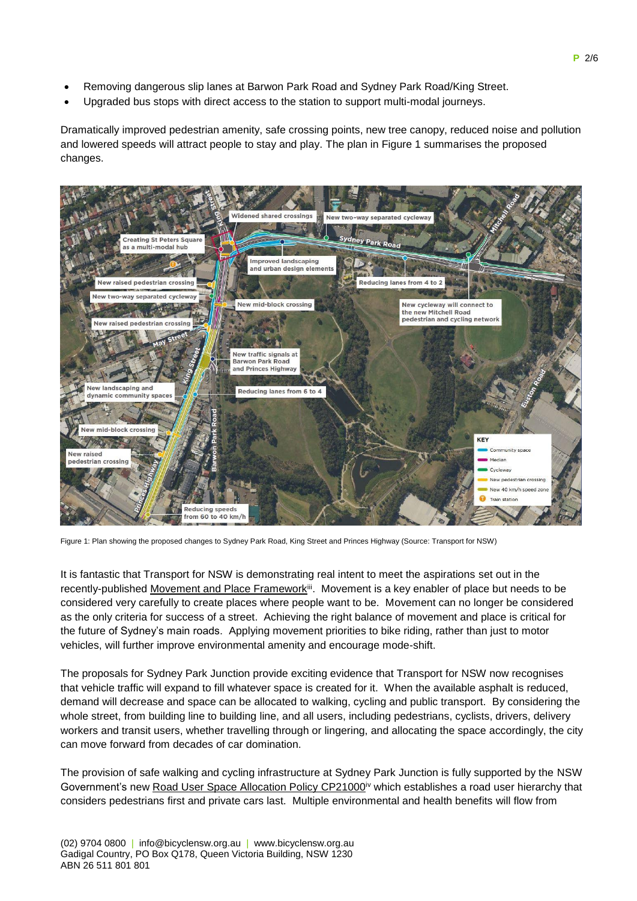- Removing dangerous slip lanes at Barwon Park Road and Sydney Park Road/King Street.
- Upgraded bus stops with direct access to the station to support multi-modal journeys.

Dramatically improved pedestrian amenity, safe crossing points, new tree canopy, reduced noise and pollution and lowered speeds will attract people to stay and play. The plan in Figure 1 summarises the proposed changes.



Figure 1: Plan showing the proposed changes to Sydney Park Road, King Street and Princes Highway (Source: Transport for NSW)

It is fantastic that Transport for NSW is demonstrating real intent to meet the aspirations set out in the recently-published Movement and Place Framework<sup>iii</sup>. Movement is a key enabler of place but needs to be considered very carefully to create places where people want to be. Movement can no longer be considered as the only criteria for success of a street. Achieving the right balance of movement and place is critical for the future of Sydney's main roads. Applying movement priorities to bike riding, rather than just to motor vehicles, will further improve environmental amenity and encourage mode-shift.

The proposals for Sydney Park Junction provide exciting evidence that Transport for NSW now recognises that vehicle traffic will expand to fill whatever space is created for it. When the available asphalt is reduced, demand will decrease and space can be allocated to walking, cycling and public transport. By considering the whole street, from building line to building line, and all users, including pedestrians, cyclists, drivers, delivery workers and transit users, whether travelling through or lingering, and allocating the space accordingly, the city can move forward from decades of car domination.

The provision of safe walking and cycling infrastructure at Sydney Park Junction is fully supported by the NSW Government's new Road User Space Allocation Policy CP21000<sup>iv</sup> which establishes a road user hierarchy that considers pedestrians first and private cars last. Multiple environmental and health benefits will flow from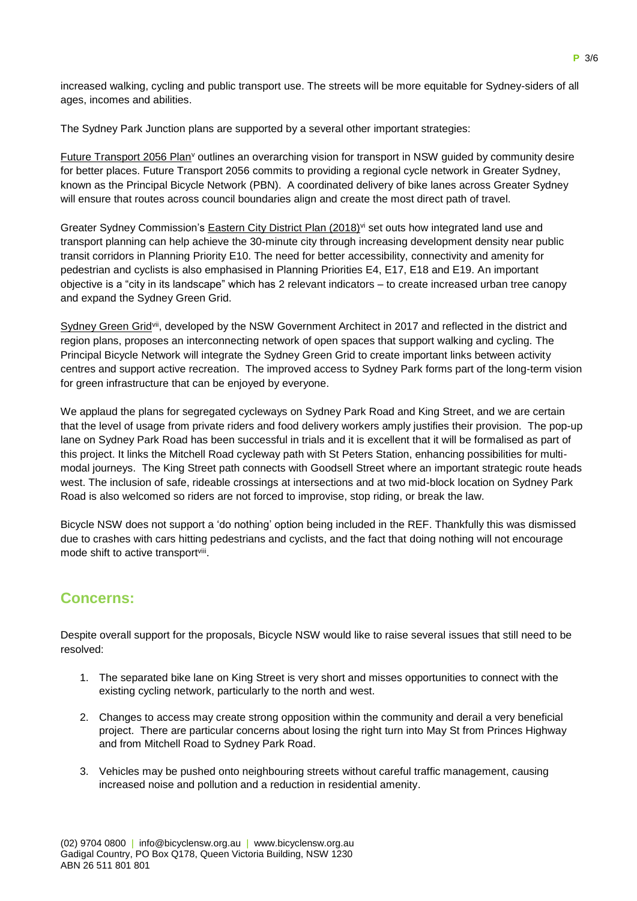increased walking, cycling and public transport use. The streets will be more equitable for Sydney-siders of all ages, incomes and abilities.

The Sydney Park Junction plans are supported by a several other important strategies:

Future Transport 2056 Plan<sup>v</sup> outlines an overarching vision for transport in NSW guided by community desire for better places. Future Transport 2056 commits to providing a regional cycle network in Greater Sydney, known as the Principal Bicycle Network (PBN). A coordinated delivery of bike lanes across Greater Sydney will ensure that routes across council boundaries align and create the most direct path of travel.

Greater Sydney Commission's **Eastern City District Plan (2018)**<sup>vi</sup> set outs how integrated land use and transport planning can help achieve the 30-minute city through increasing development density near public transit corridors in Planning Priority E10. The need for better accessibility, connectivity and amenity for pedestrian and cyclists is also emphasised in Planning Priorities E4, E17, E18 and E19. An important objective is a "city in its landscape" which has 2 relevant indicators – to create increased urban tree canopy and expand the Sydney Green Grid.

Sydney Green Grid<sup>vii</sup>, developed by the NSW Government Architect in 2017 and reflected in the district and region plans, proposes an interconnecting network of open spaces that support walking and cycling. The Principal Bicycle Network will integrate the Sydney Green Grid to create important links between activity centres and support active recreation. The improved access to Sydney Park forms part of the long-term vision for green infrastructure that can be enjoyed by everyone.

We applaud the plans for segregated cycleways on Sydney Park Road and King Street, and we are certain that the level of usage from private riders and food delivery workers amply justifies their provision. The pop-up lane on Sydney Park Road has been successful in trials and it is excellent that it will be formalised as part of this project. It links the Mitchell Road cycleway path with St Peters Station, enhancing possibilities for multimodal journeys. The King Street path connects with Goodsell Street where an important strategic route heads west. The inclusion of safe, rideable crossings at intersections and at two mid-block location on Sydney Park Road is also welcomed so riders are not forced to improvise, stop riding, or break the law.

Bicycle NSW does not support a 'do nothing' option being included in the REF. Thankfully this was dismissed due to crashes with cars hitting pedestrians and cyclists, and the fact that doing nothing will not encourage mode shift to active transportviii.

## **Concerns:**

Despite overall support for the proposals, Bicycle NSW would like to raise several issues that still need to be resolved:

- 1. The separated bike lane on King Street is very short and misses opportunities to connect with the existing cycling network, particularly to the north and west.
- 2. Changes to access may create strong opposition within the community and derail a very beneficial project. There are particular concerns about losing the right turn into May St from Princes Highway and from Mitchell Road to Sydney Park Road.
- 3. Vehicles may be pushed onto neighbouring streets without careful traffic management, causing increased noise and pollution and a reduction in residential amenity.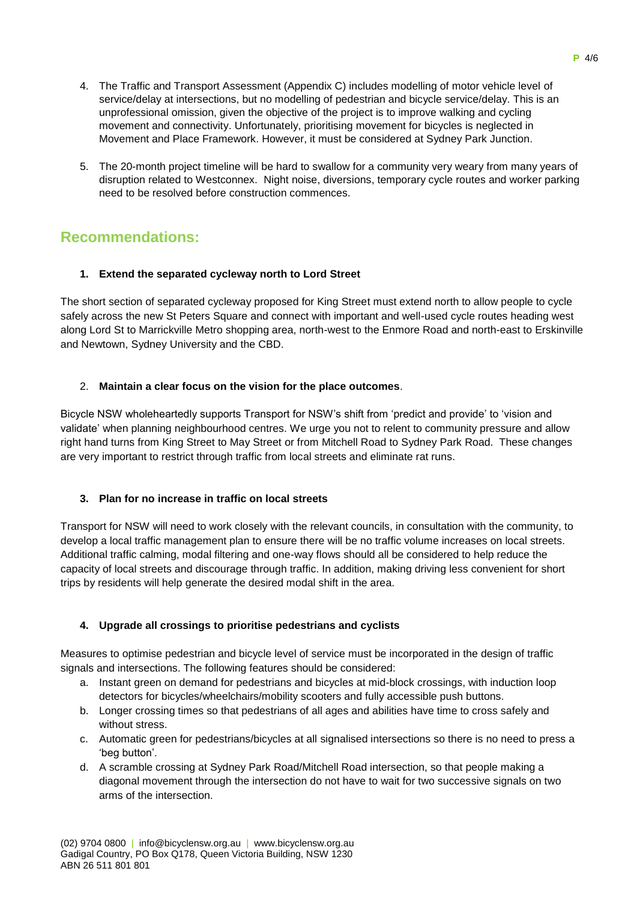- 4. The Traffic and Transport Assessment (Appendix C) includes modelling of motor vehicle level of service/delay at intersections, but no modelling of pedestrian and bicycle service/delay. This is an unprofessional omission, given the objective of the project is to improve walking and cycling movement and connectivity. Unfortunately, prioritising movement for bicycles is neglected in Movement and Place Framework. However, it must be considered at Sydney Park Junction.
- 5. The 20-month project timeline will be hard to swallow for a community very weary from many years of disruption related to Westconnex. Night noise, diversions, temporary cycle routes and worker parking need to be resolved before construction commences.

# **Recommendations:**

### **1. Extend the separated cycleway north to Lord Street**

The short section of separated cycleway proposed for King Street must extend north to allow people to cycle safely across the new St Peters Square and connect with important and well-used cycle routes heading west along Lord St to Marrickville Metro shopping area, north-west to the Enmore Road and north-east to Erskinville and Newtown, Sydney University and the CBD.

### 2. **Maintain a clear focus on the vision for the place outcomes**.

Bicycle NSW wholeheartedly supports Transport for NSW's shift from 'predict and provide' to 'vision and validate' when planning neighbourhood centres. We urge you not to relent to community pressure and allow right hand turns from King Street to May Street or from Mitchell Road to Sydney Park Road. These changes are very important to restrict through traffic from local streets and eliminate rat runs.

#### **3. Plan for no increase in traffic on local streets**

Transport for NSW will need to work closely with the relevant councils, in consultation with the community, to develop a local traffic management plan to ensure there will be no traffic volume increases on local streets. Additional traffic calming, modal filtering and one-way flows should all be considered to help reduce the capacity of local streets and discourage through traffic. In addition, making driving less convenient for short trips by residents will help generate the desired modal shift in the area.

## **4. Upgrade all crossings to prioritise pedestrians and cyclists**

Measures to optimise pedestrian and bicycle level of service must be incorporated in the design of traffic signals and intersections. The following features should be considered:

- a. Instant green on demand for pedestrians and bicycles at mid-block crossings, with induction loop detectors for bicycles/wheelchairs/mobility scooters and fully accessible push buttons.
- b. Longer crossing times so that pedestrians of all ages and abilities have time to cross safely and without stress.
- c. Automatic green for pedestrians/bicycles at all signalised intersections so there is no need to press a 'beg button'.
- d. A scramble crossing at Sydney Park Road/Mitchell Road intersection, so that people making a diagonal movement through the intersection do not have to wait for two successive signals on two arms of the intersection.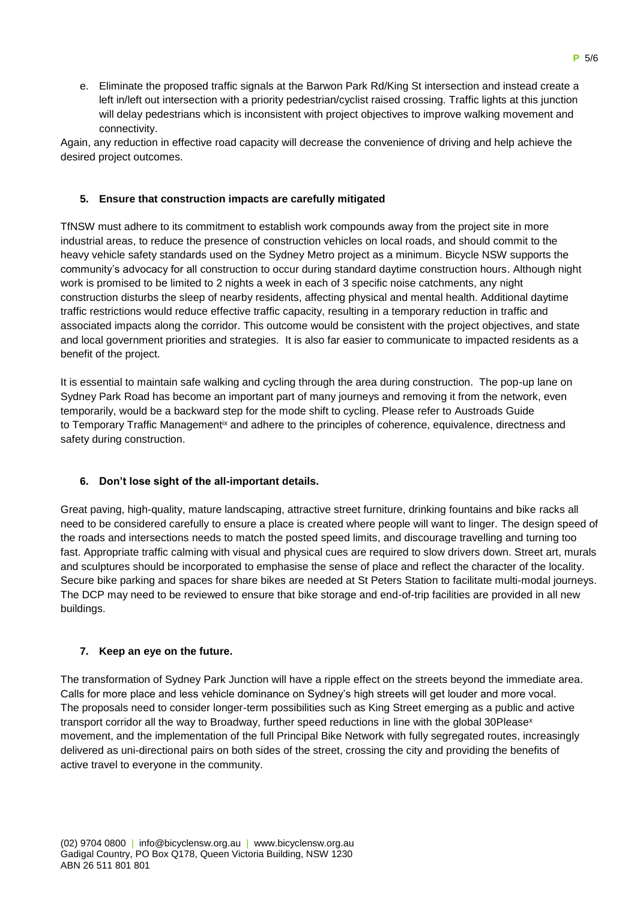e. Eliminate the proposed traffic signals at the Barwon Park Rd/King St intersection and instead create a left in/left out intersection with a priority pedestrian/cyclist raised crossing. Traffic lights at this junction will delay pedestrians which is inconsistent with project objectives to improve walking movement and connectivity.

Again, any reduction in effective road capacity will decrease the convenience of driving and help achieve the desired project outcomes.

#### **5. Ensure that construction impacts are carefully mitigated**

TfNSW must adhere to its commitment to establish work compounds away from the project site in more industrial areas, to reduce the presence of construction vehicles on local roads, and should commit to the heavy vehicle safety standards used on the Sydney Metro project as a minimum. Bicycle NSW supports the community's advocacy for all construction to occur during standard daytime construction hours. Although night work is promised to be limited to 2 nights a week in each of 3 specific noise catchments, any night construction disturbs the sleep of nearby residents, affecting physical and mental health. Additional daytime traffic restrictions would reduce effective traffic capacity, resulting in a temporary reduction in traffic and associated impacts along the corridor. This outcome would be consistent with the project objectives, and state and local government priorities and strategies. It is also far easier to communicate to impacted residents as a benefit of the project.

It is essential to maintain safe walking and cycling through the area during construction. The pop-up lane on Sydney Park Road has become an important part of many journeys and removing it from the network, even temporarily, would be a backward step for the mode shift to cycling. Please refer to Austroads Guide to Temporary Traffic Management<sup>ix</sup> and adhere to the principles of coherence, equivalence, directness and safety during construction.

## **6. Don't lose sight of the all-important details.**

Great paving, high-quality, mature landscaping, attractive street furniture, drinking fountains and bike racks all need to be considered carefully to ensure a place is created where people will want to linger. The design speed of the roads and intersections needs to match the posted speed limits, and discourage travelling and turning too fast. Appropriate traffic calming with visual and physical cues are required to slow drivers down. Street art, murals and sculptures should be incorporated to emphasise the sense of place and reflect the character of the locality. Secure bike parking and spaces for share bikes are needed at St Peters Station to facilitate multi-modal journeys. The DCP may need to be reviewed to ensure that bike storage and end-of-trip facilities are provided in all new buildings.

#### **7. Keep an eye on the future.**

The transformation of Sydney Park Junction will have a ripple effect on the streets beyond the immediate area. Calls for more place and less vehicle dominance on Sydney's high streets will get louder and more vocal. The proposals need to consider longer-term possibilities such as King Street emerging as a public and active transport corridor all the way to Broadway, further speed reductions in line with the global 30Please<sup>x</sup> movement, and the implementation of the full Principal Bike Network with fully segregated routes, increasingly delivered as uni-directional pairs on both sides of the street, crossing the city and providing the benefits of active travel to everyone in the community.